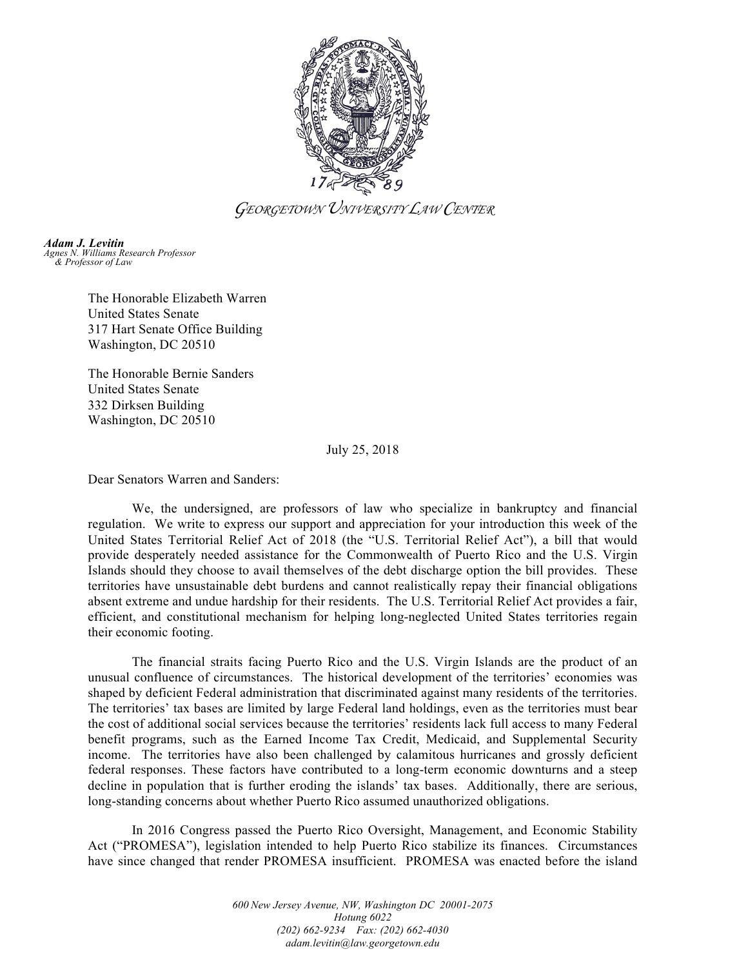

*GEORGETOWN UNIVERSITY LAW CENTER*

*Adam J. Levitin Agnes N. Williams Research Professor & Professor of Law*

> The Honorable Elizabeth Warren United States Senate 317 Hart Senate Office Building Washington, DC 20510

The Honorable Bernie Sanders United States Senate 332 Dirksen Building Washington, DC 20510

July 25, 2018

Dear Senators Warren and Sanders:

We, the undersigned, are professors of law who specialize in bankruptcy and financial regulation. We write to express our support and appreciation for your introduction this week of the United States Territorial Relief Act of 2018 (the "U.S. Territorial Relief Act"), a bill that would provide desperately needed assistance for the Commonwealth of Puerto Rico and the U.S. Virgin Islands should they choose to avail themselves of the debt discharge option the bill provides. These territories have unsustainable debt burdens and cannot realistically repay their financial obligations absent extreme and undue hardship for their residents. The U.S. Territorial Relief Act provides a fair, efficient, and constitutional mechanism for helping long-neglected United States territories regain their economic footing.

The financial straits facing Puerto Rico and the U.S. Virgin Islands are the product of an unusual confluence of circumstances. The historical development of the territories' economies was shaped by deficient Federal administration that discriminated against many residents of the territories. The territories' tax bases are limited by large Federal land holdings, even as the territories must bear the cost of additional social services because the territories' residents lack full access to many Federal benefit programs, such as the Earned Income Tax Credit, Medicaid, and Supplemental Security income. The territories have also been challenged by calamitous hurricanes and grossly deficient federal responses. These factors have contributed to a long-term economic downturns and a steep decline in population that is further eroding the islands' tax bases. Additionally, there are serious, long-standing concerns about whether Puerto Rico assumed unauthorized obligations.

In 2016 Congress passed the Puerto Rico Oversight, Management, and Economic Stability Act ("PROMESA"), legislation intended to help Puerto Rico stabilize its finances. Circumstances have since changed that render PROMESA insufficient. PROMESA was enacted before the island

> *600 New Jersey Avenue, NW, Washington DC 20001-2075 Hotung 6022 (202) 662-9234 Fax: (202) 662-4030 adam.levitin@law.georgetown.edu*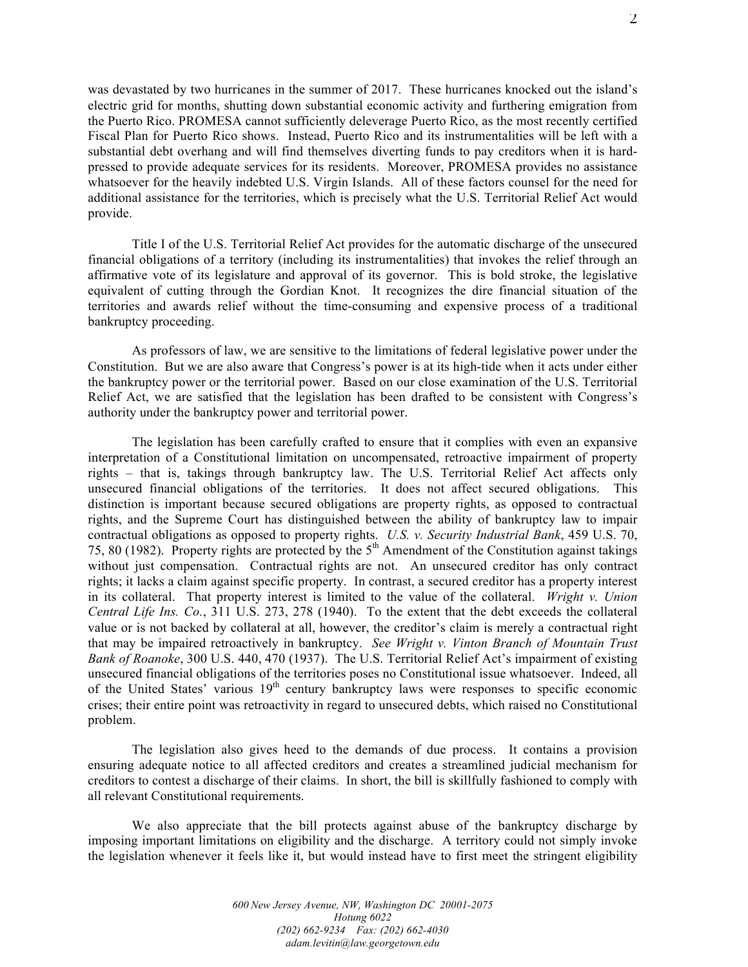was devastated by two hurricanes in the summer of 2017. These hurricanes knocked out the island's electric grid for months, shutting down substantial economic activity and furthering emigration from the Puerto Rico. PROMESA cannot sufficiently deleverage Puerto Rico, as the most recently certified Fiscal Plan for Puerto Rico shows. Instead, Puerto Rico and its instrumentalities will be left with a substantial debt overhang and will find themselves diverting funds to pay creditors when it is hardpressed to provide adequate services for its residents. Moreover, PROMESA provides no assistance whatsoever for the heavily indebted U.S. Virgin Islands. All of these factors counsel for the need for additional assistance for the territories, which is precisely what the U.S. Territorial Relief Act would provide.

Title I of the U.S. Territorial Relief Act provides for the automatic discharge of the unsecured financial obligations of a territory (including its instrumentalities) that invokes the relief through an affirmative vote of its legislature and approval of its governor. This is bold stroke, the legislative equivalent of cutting through the Gordian Knot. It recognizes the dire financial situation of the territories and awards relief without the time-consuming and expensive process of a traditional bankruptcy proceeding.

As professors of law, we are sensitive to the limitations of federal legislative power under the Constitution. But we are also aware that Congress's power is at its high-tide when it acts under either the bankruptcy power or the territorial power. Based on our close examination of the U.S. Territorial Relief Act, we are satisfied that the legislation has been drafted to be consistent with Congress's authority under the bankruptcy power and territorial power.

The legislation has been carefully crafted to ensure that it complies with even an expansive interpretation of a Constitutional limitation on uncompensated, retroactive impairment of property rights – that is, takings through bankruptcy law. The U.S. Territorial Relief Act affects only unsecured financial obligations of the territories. It does not affect secured obligations. This distinction is important because secured obligations are property rights, as opposed to contractual rights, and the Supreme Court has distinguished between the ability of bankruptcy law to impair contractual obligations as opposed to property rights. *U.S. v. Security Industrial Bank*, 459 U.S. 70, 75, 80 (1982). Property rights are protected by the  $5<sup>th</sup>$  Amendment of the Constitution against takings without just compensation. Contractual rights are not. An unsecured creditor has only contract rights; it lacks a claim against specific property. In contrast, a secured creditor has a property interest in its collateral. That property interest is limited to the value of the collateral. *Wright v. Union Central Life Ins. Co.*, 311 U.S. 273, 278 (1940). To the extent that the debt exceeds the collateral value or is not backed by collateral at all, however, the creditor's claim is merely a contractual right that may be impaired retroactively in bankruptcy. *See Wright v. Vinton Branch of Mountain Trust Bank of Roanoke*, 300 U.S. 440, 470 (1937). The U.S. Territorial Relief Act's impairment of existing unsecured financial obligations of the territories poses no Constitutional issue whatsoever. Indeed, all of the United States' various  $19<sup>th</sup>$  century bankruptcy laws were responses to specific economic crises; their entire point was retroactivity in regard to unsecured debts, which raised no Constitutional problem.

The legislation also gives heed to the demands of due process. It contains a provision ensuring adequate notice to all affected creditors and creates a streamlined judicial mechanism for creditors to contest a discharge of their claims. In short, the bill is skillfully fashioned to comply with all relevant Constitutional requirements.

We also appreciate that the bill protects against abuse of the bankruptcy discharge by imposing important limitations on eligibility and the discharge. A territory could not simply invoke the legislation whenever it feels like it, but would instead have to first meet the stringent eligibility

> *600 New Jersey Avenue, NW, Washington DC 20001-2075 Hotung 6022 (202) 662-9234 Fax: (202) 662-4030 adam.levitin@law.georgetown.edu*